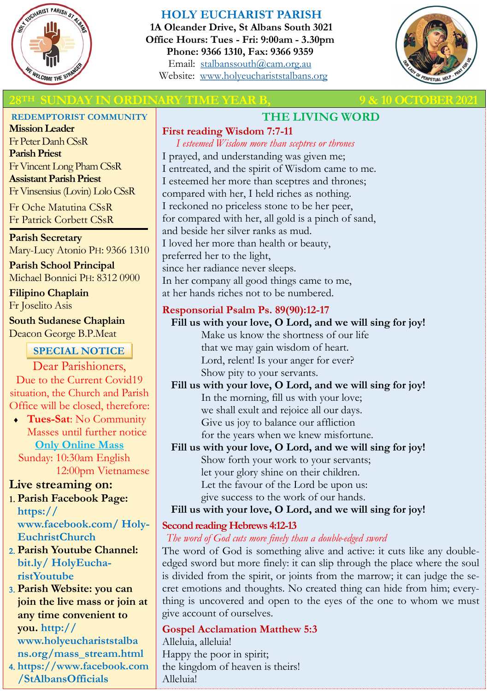

# **HOLY EUCHARIST PARISH**

**1A Oleander Drive, St Albans South 3021 Office Hours: Tues - Fri: 9:00am - 3.30pm Phone: 9366 1310, Fax: 9366 9359** Email: [stalbanssouth@cam.org.au](mailto:stalbanssouth@cam.org.au) Website:[www.holyeuchariststalbans.org](http://www.holyeuchariststalbans.org)



# **28 YOU ARE SUITE AT A SUBSEX 2021 MONETAIN STATE OF SUITE AND ASSESSED AT A SUBSEX 2021**

#### **REDEMPTORIST COMMUNITY**

**Mission Leader** Fr Peter Danh CSsR **Parish Priest** Fr Vincent Long Pham CSsR **Assistant Parish Priest**  Fr Vinsensius (Lovin) Lolo CSsR

Fr Oche Matutina CSsR Fr Patrick Corbett CSsR

**Parish Secretary** Mary-Lucy Atonio PH: 9366 1310

**Parish School Principal** Michael Bonnici PH: 8312 0900

**Filipino Chaplain** Fr Joselito Asis

**South Sudanese Chaplain** Deacon George B.P.Meat

## **SPECIAL NOTICE**

Dear Parishioners, Due to the Current Covid19 situation, the Church and Parish Office will be closed, therefore:

 **Tues-Sat**: No Community Masses until further notice **Only Online Mass** 

 Sunday: 10:30am English 12:00pm Vietnamese

## **Live streaming on:**

- **Parish Facebook Page: https:// www.facebook.com/ Holy-EuchristChurch**
- **Parish Youtube Channel: bit.ly/ HolyEucharistYoutube**
- **Parish Website: you can join the live mass or join at any time convenient to you. http:// www.holyeuchariststalba ns.org/mass\_stream.html**
- **https://www.facebook.com /StAlbansOfficials**

# **THE LIVING WORD**

**First reading Wisdom 7:7-11**

*I esteemed Wisdom more than sceptres or thrones* I prayed, and understanding was given me; I entreated, and the spirit of Wisdom came to me. I esteemed her more than sceptres and thrones; compared with her, I held riches as nothing. I reckoned no priceless stone to be her peer, for compared with her, all gold is a pinch of sand, and beside her silver ranks as mud. I loved her more than health or beauty, preferred her to the light, since her radiance never sleeps. In her company all good things came to me, at her hands riches not to be numbered.

# **Responsorial Psalm Ps. 89(90):12-17**

**Fill us with your love, O Lord, and we will sing for joy!** Make us know the shortness of our life that we may gain wisdom of heart. Lord, relent! Is your anger for ever? Show pity to your servants.

**Fill us with your love, O Lord, and we will sing for joy!** In the morning, fill us with your love; we shall exult and rejoice all our days. Give us joy to balance our affliction for the years when we knew misfortune.

**Fill us with your love, O Lord, and we will sing for joy!** Show forth your work to your servants; let your glory shine on their children. Let the favour of the Lord be upon us: give success to the work of our hands.

## **Fill us with your love, O Lord, and we will sing for joy!**

## **Second reading Hebrews 4:12-13**

## *The word of God cuts more finely than a double-edged sword*

The word of God is something alive and active: it cuts like any doubleedged sword but more finely: it can slip through the place where the soul is divided from the spirit, or joints from the marrow; it can judge the secret emotions and thoughts. No created thing can hide from him; everything is uncovered and open to the eyes of the one to whom we must give account of ourselves.

**Gospel Acclamation Matthew 5:3** Alleluia, alleluia! Happy the poor in spirit; the kingdom of heaven is theirs! Alleluia!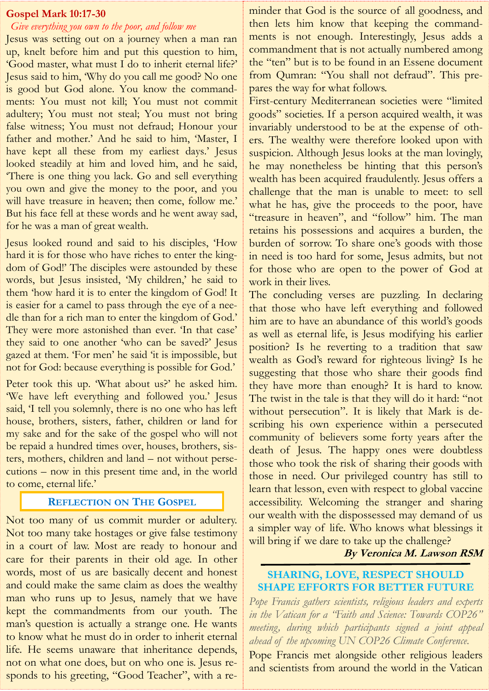#### **Gospel Mark 10:17-30**

# *Give everything you own to the poor, and follow me*

Jesus was setting out on a journey when a man ran up, knelt before him and put this question to him, 'Good master, what must I do to inherit eternal life?' Jesus said to him, 'Why do you call me good? No one is good but God alone. You know the commandments: You must not kill; You must not commit adultery; You must not steal; You must not bring false witness; You must not defraud; Honour your father and mother.' And he said to him, 'Master, I have kept all these from my earliest days.' Jesus looked steadily at him and loved him, and he said, 'There is one thing you lack. Go and sell everything you own and give the money to the poor, and you will have treasure in heaven; then come, follow me.' But his face fell at these words and he went away sad, for he was a man of great wealth.

Jesus looked round and said to his disciples, 'How hard it is for those who have riches to enter the kingdom of God!' The disciples were astounded by these words, but Jesus insisted, 'My children,' he said to them 'how hard it is to enter the kingdom of God! It is easier for a camel to pass through the eye of a needle than for a rich man to enter the kingdom of God.' They were more astonished than ever. 'In that case' they said to one another 'who can be saved?' Jesus gazed at them. 'For men' he said 'it is impossible, but not for God: because everything is possible for God.'

Peter took this up. What about us?' he asked him. 'We have left everything and followed you.' Jesus said, 'I tell you solemnly, there is no one who has left house, brothers, sisters, father, children or land for my sake and for the sake of the gospel who will not be repaid a hundred times over, houses, brothers, sisters, mothers, children and land – not without persecutions – now in this present time and, in the world to come, eternal life.'

#### **REFLECTION ON THE GOSPEL**

Not too many of us commit murder or adultery. Not too many take hostages or give false testimony in a court of law. Most are ready to honour and care for their parents in their old age. In other words, most of us are basically decent and honest and could make the same claim as does the wealthy man who runs up to Jesus, namely that we have kept the commandments from our youth. The man's question is actually a strange one. He wants to know what he must do in order to inherit eternal life. He seems unaware that inheritance depends, not on what one does, but on who one is. Jesus responds to his greeting, "Good Teacher", with a reminder that God is the source of all goodness, and then lets him know that keeping the commandments is not enough. Interestingly, Jesus adds a commandment that is not actually numbered among the "ten" but is to be found in an Essene document from Qumran: "You shall not defraud". This prepares the way for what follows.

First-century Mediterranean societies were "limited goods" societies. If a person acquired wealth, it was invariably understood to be at the expense of others. The wealthy were therefore looked upon with suspicion. Although Jesus looks at the man lovingly, he may nonetheless be hinting that this person's wealth has been acquired fraudulently. Jesus offers a challenge that the man is unable to meet: to sell what he has, give the proceeds to the poor, have "treasure in heaven", and "follow" him. The man retains his possessions and acquires a burden, the burden of sorrow. To share one's goods with those in need is too hard for some, Jesus admits, but not for those who are open to the power of God at work in their lives.

The concluding verses are puzzling. In declaring that those who have left everything and followed him are to have an abundance of this world's goods as well as eternal life, is Jesus modifying his earlier position? Is he reverting to a tradition that saw wealth as God's reward for righteous living? Is he suggesting that those who share their goods find they have more than enough? It is hard to know. The twist in the tale is that they will do it hard: "not without persecution". It is likely that Mark is describing his own experience within a persecuted community of believers some forty years after the death of Jesus. The happy ones were doubtless those who took the risk of sharing their goods with those in need. Our privileged country has still to learn that lesson, even with respect to global vaccine accessibility. Welcoming the stranger and sharing our wealth with the dispossessed may demand of us a simpler way of life. Who knows what blessings it will bring if we dare to take up the challenge?

**By Veronica M. Lawson RSM**

#### **SHARING, LOVE, RESPECT SHOULD SHAPE EFFORTS FOR BETTER FUTURE**

*Pope Francis gathers scientists, religious leaders and experts in the Vatican for a "Faith and Science: Towards COP26" meeting, during which participants signed a joint appeal ahead of the upcoming UN COP26 Climate Conference.*

Pope Francis met alongside other religious leaders and scientists from around the world in the Vatican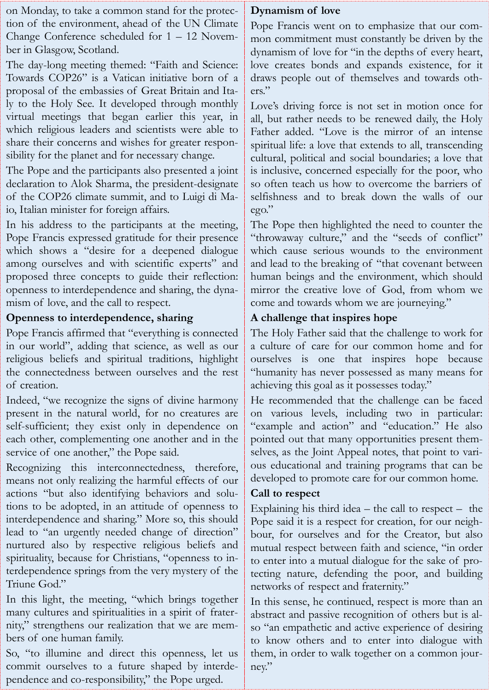on Monday, to take a common stand for the protection of the environment, ahead of the UN Climate Change Conference scheduled for 1 – 12 November in Glasgow, Scotland.

The day-long meeting themed: "Faith and Science: Towards COP26" is a Vatican initiative born of a proposal of the embassies of Great Britain and Italy to the Holy See. It developed through monthly virtual meetings that began earlier this year, in which religious leaders and scientists were able to share their concerns and wishes for greater responsibility for the planet and for necessary change.

The Pope and the participants also presented a joint declaration to Alok Sharma, the president-designate of the COP26 climate summit, and to Luigi di Maio, Italian minister for foreign affairs.

In his address to the participants at the meeting, Pope Francis expressed gratitude for their presence which shows a "desire for a deepened dialogue among ourselves and with scientific experts" and proposed three concepts to guide their reflection: openness to interdependence and sharing, the dynamism of love, and the call to respect.

# **Openness to interdependence, sharing**

Pope Francis affirmed that "everything is connected in our world", adding that science, as well as our religious beliefs and spiritual traditions, highlight the connectedness between ourselves and the rest of creation.

Indeed, "we recognize the signs of divine harmony present in the natural world, for no creatures are self-sufficient; they exist only in dependence on each other, complementing one another and in the service of one another," the Pope said.

Recognizing this interconnectedness, therefore, means not only realizing the harmful effects of our actions "but also identifying behaviors and solutions to be adopted, in an attitude of openness to interdependence and sharing." More so, this should lead to "an urgently needed change of direction" nurtured also by respective religious beliefs and spirituality, because for Christians, "openness to interdependence springs from the very mystery of the Triune God."

In this light, the meeting, "which brings together many cultures and spiritualities in a spirit of fraternity," strengthens our realization that we are members of one human family.

So, "to illumine and direct this openness, let us commit ourselves to a future shaped by interdependence and co-responsibility," the Pope urged.

# **Dynamism of love**

Pope Francis went on to emphasize that our common commitment must constantly be driven by the dynamism of love for "in the depths of every heart, love creates bonds and expands existence, for it draws people out of themselves and towards others."

Love's driving force is not set in motion once for all, but rather needs to be renewed daily, the Holy Father added. "Love is the mirror of an intense spiritual life: a love that extends to all, transcending cultural, political and social boundaries; a love that is inclusive, concerned especially for the poor, who so often teach us how to overcome the barriers of selfishness and to break down the walls of our ego."

The Pope then highlighted the need to counter the "throwaway culture," and the "seeds of conflict" which cause serious wounds to the environment and lead to the breaking of "that covenant between human beings and the environment, which should mirror the creative love of God, from whom we come and towards whom we are journeying."

# **A challenge that inspires hope**

The Holy Father said that the challenge to work for a culture of care for our common home and for ourselves is one that inspires hope because "humanity has never possessed as many means for achieving this goal as it possesses today."

He recommended that the challenge can be faced on various levels, including two in particular: "example and action" and "education." He also pointed out that many opportunities present themselves, as the Joint Appeal notes, that point to various educational and training programs that can be developed to promote care for our common home.

# **Call to respect**

Explaining his third idea  $-$  the call to respect  $-$  the Pope said it is a respect for creation, for our neighbour, for ourselves and for the Creator, but also mutual respect between faith and science, "in order to enter into a mutual dialogue for the sake of protecting nature, defending the poor, and building networks of respect and fraternity."

In this sense, he continued, respect is more than an abstract and passive recognition of others but is also "an empathetic and active experience of desiring to know others and to enter into dialogue with them, in order to walk together on a common journey."